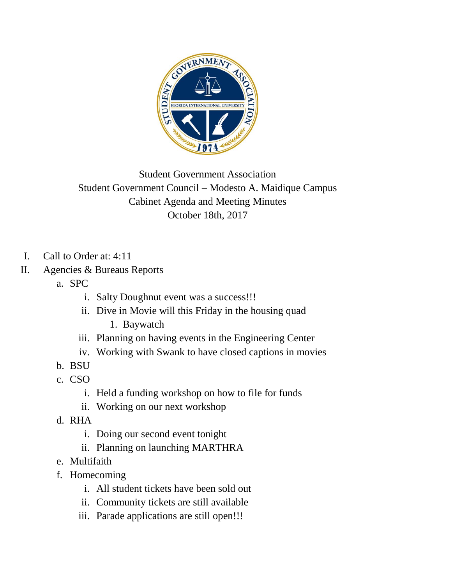

Student Government Association Student Government Council – Modesto A. Maidique Campus Cabinet Agenda and Meeting Minutes October 18th, 2017

- I. Call to Order at: 4:11
- II. Agencies & Bureaus Reports
	- a. SPC
		- i. Salty Doughnut event was a success!!!
		- ii. Dive in Movie will this Friday in the housing quad
			- 1. Baywatch
		- iii. Planning on having events in the Engineering Center
		- iv. Working with Swank to have closed captions in movies
	- b. BSU
	- c. CSO
		- i. Held a funding workshop on how to file for funds
		- ii. Working on our next workshop
	- d. RHA
		- i. Doing our second event tonight
		- ii. Planning on launching MARTHRA
	- e. Multifaith
	- f. Homecoming
		- i. All student tickets have been sold out
		- ii. Community tickets are still available
		- iii. Parade applications are still open!!!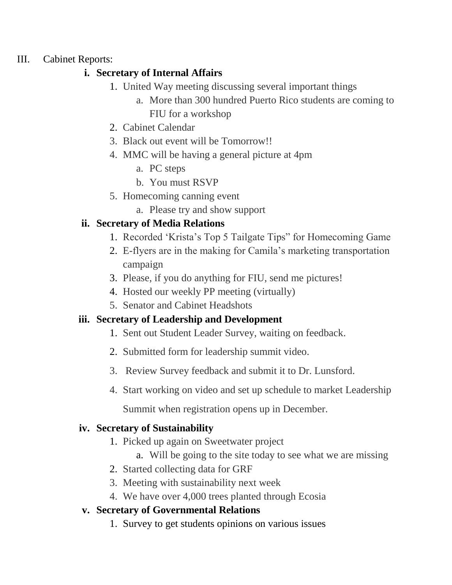#### III. Cabinet Reports:

#### **i. Secretary of Internal Affairs**

- 1. United Way meeting discussing several important things
	- a. More than 300 hundred Puerto Rico students are coming to FIU for a workshop
- 2. Cabinet Calendar
- 3. Black out event will be Tomorrow!!
- 4. MMC will be having a general picture at 4pm
	- a. PC steps
	- b. You must RSVP
- 5. Homecoming canning event
	- a. Please try and show support

# **ii. Secretary of Media Relations**

- 1. Recorded 'Krista's Top 5 Tailgate Tips" for Homecoming Game
- 2. E-flyers are in the making for Camila's marketing transportation campaign
- 3. Please, if you do anything for FIU, send me pictures!
- 4. Hosted our weekly PP meeting (virtually)
- 5. Senator and Cabinet Headshots

# **iii. Secretary of Leadership and Development**

- 1. Sent out Student Leader Survey, waiting on feedback.
- 2. Submitted form for leadership summit video.
- 3. Review Survey feedback and submit it to Dr. Lunsford.
- 4. Start working on video and set up schedule to market Leadership

Summit when registration opens up in December.

#### **iv. Secretary of Sustainability**

- 1. Picked up again on Sweetwater project
	- a. Will be going to the site today to see what we are missing
- 2. Started collecting data for GRF
- 3. Meeting with sustainability next week
- 4. We have over 4,000 trees planted through Ecosia

# **v. Secretary of Governmental Relations**

1. Survey to get students opinions on various issues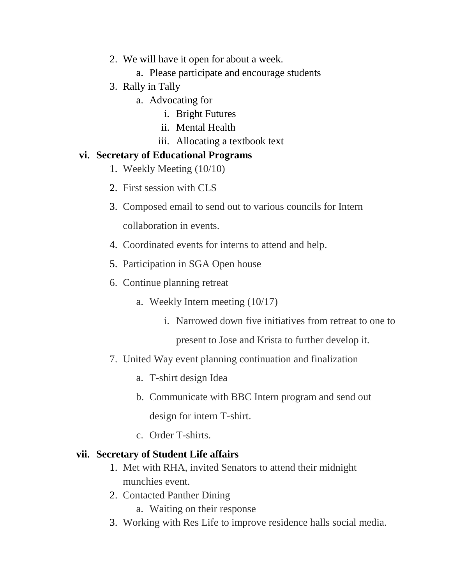- 2. We will have it open for about a week.
	- a. Please participate and encourage students
- 3. Rally in Tally
	- a. Advocating for
		- i. Bright Futures
		- ii. Mental Health
		- iii. Allocating a textbook text

#### **vi. Secretary of Educational Programs**

- 1. Weekly Meeting (10/10)
- 2. First session with CLS
- 3. Composed email to send out to various councils for Intern collaboration in events.
- 4. Coordinated events for interns to attend and help.
- 5. Participation in SGA Open house
- 6. Continue planning retreat
	- a. Weekly Intern meeting (10/17)
		- i. Narrowed down five initiatives from retreat to one to

present to Jose and Krista to further develop it.

- 7. United Way event planning continuation and finalization
	- a. T-shirt design Idea
	- b. Communicate with BBC Intern program and send out design for intern T-shirt.
	- c. Order T-shirts.

#### **vii. Secretary of Student Life affairs**

- 1. Met with RHA, invited Senators to attend their midnight munchies event.
- 2. Contacted Panther Dining
	- a. Waiting on their response
- 3. Working with Res Life to improve residence halls social media.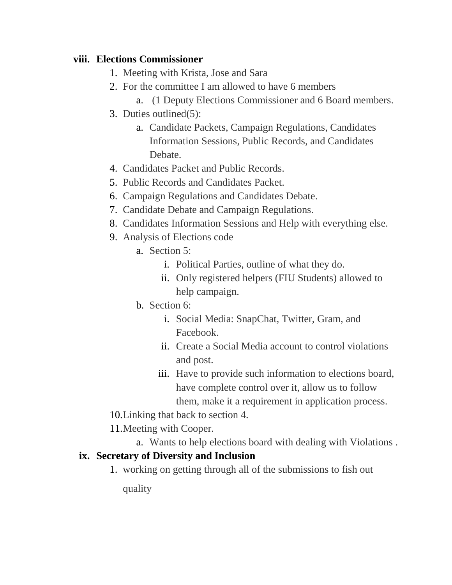#### **viii. Elections Commissioner**

- 1. Meeting with Krista, Jose and Sara
- 2. For the committee I am allowed to have 6 members
	- a. (1 Deputy Elections Commissioner and 6 Board members.
- 3. Duties outlined(5):
	- a. Candidate Packets, Campaign Regulations, Candidates Information Sessions, Public Records, and Candidates Debate.
- 4. Candidates Packet and Public Records.
- 5. Public Records and Candidates Packet.
- 6. Campaign Regulations and Candidates Debate.
- 7. Candidate Debate and Campaign Regulations.
- 8. Candidates Information Sessions and Help with everything else.
- 9. Analysis of Elections code
	- a. Section 5:
		- i. Political Parties, outline of what they do.
		- ii. Only registered helpers (FIU Students) allowed to help campaign.
	- b. Section 6:
		- i. Social Media: SnapChat, Twitter, Gram, and Facebook.
		- ii. Create a Social Media account to control violations and post.
		- iii. Have to provide such information to elections board, have complete control over it, allow us to follow them, make it a requirement in application process.
- 10.Linking that back to section 4.
- 11.Meeting with Cooper.
	- a. Wants to help elections board with dealing with Violations .

#### **ix. Secretary of Diversity and Inclusion**

1. working on getting through all of the submissions to fish out

quality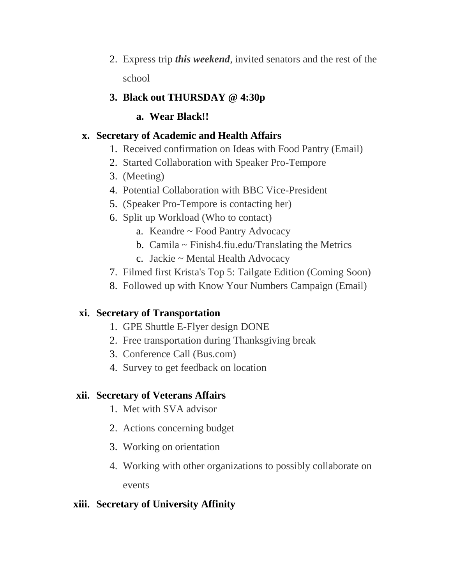- 2. Express trip *this weekend*, invited senators and the rest of the school
- **3. Black out THURSDAY @ 4:30p**
	- **a. Wear Black!!**

# **x. Secretary of Academic and Health Affairs**

- 1. Received confirmation on Ideas with Food Pantry (Email)
- 2. Started Collaboration with Speaker Pro-Tempore
- 3. (Meeting)
- 4. Potential Collaboration with BBC Vice-President
- 5. (Speaker Pro-Tempore is contacting her)
- 6. Split up Workload (Who to contact)
	- a. Keandre ~ Food Pantry Advocacy
	- b. Camila  $\sim$  Finish4.fiu.edu/Translating the Metrics
	- c. Jackie ~ Mental Health Advocacy
- 7. Filmed first Krista's Top 5: Tailgate Edition (Coming Soon)
- 8. Followed up with Know Your Numbers Campaign (Email)

# **xi. Secretary of Transportation**

- 1. GPE Shuttle E-Flyer design DONE
- 2. Free transportation during Thanksgiving break
- 3. Conference Call (Bus.com)
- 4. Survey to get feedback on location

# **xii. Secretary of Veterans Affairs**

- 1. Met with SVA advisor
- 2. Actions concerning budget
- 3. Working on orientation
- 4. Working with other organizations to possibly collaborate on events

# **xiii. Secretary of University Affinity**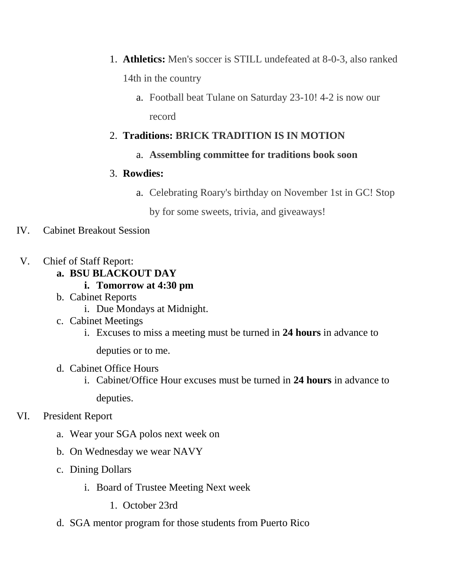- 1. **Athletics:** Men's soccer is STILL undefeated at 8-0-3, also ranked 14th in the country
	- a. Football beat Tulane on Saturday 23-10! 4-2 is now our record

# 2. **Traditions: BRICK TRADITION IS IN MOTION**

a. **Assembling committee for traditions book soon**

### 3. **Rowdies:**

a. Celebrating Roary's birthday on November 1st in GC! Stop

by for some sweets, trivia, and giveaways!

# IV. Cabinet Breakout Session

- V. Chief of Staff Report:
	- **a. BSU BLACKOUT DAY** 
		- **i. Tomorrow at 4:30 pm**
	- b. Cabinet Reports
		- i. Due Mondays at Midnight.
	- c. Cabinet Meetings
		- i. Excuses to miss a meeting must be turned in **24 hours** in advance to

deputies or to me.

- d. Cabinet Office Hours
	- i. Cabinet/Office Hour excuses must be turned in **24 hours** in advance to deputies.
- VI. President Report
	- a. Wear your SGA polos next week on
	- b. On Wednesday we wear NAVY
	- c. Dining Dollars
		- i. Board of Trustee Meeting Next week
			- 1. October 23rd
	- d. SGA mentor program for those students from Puerto Rico